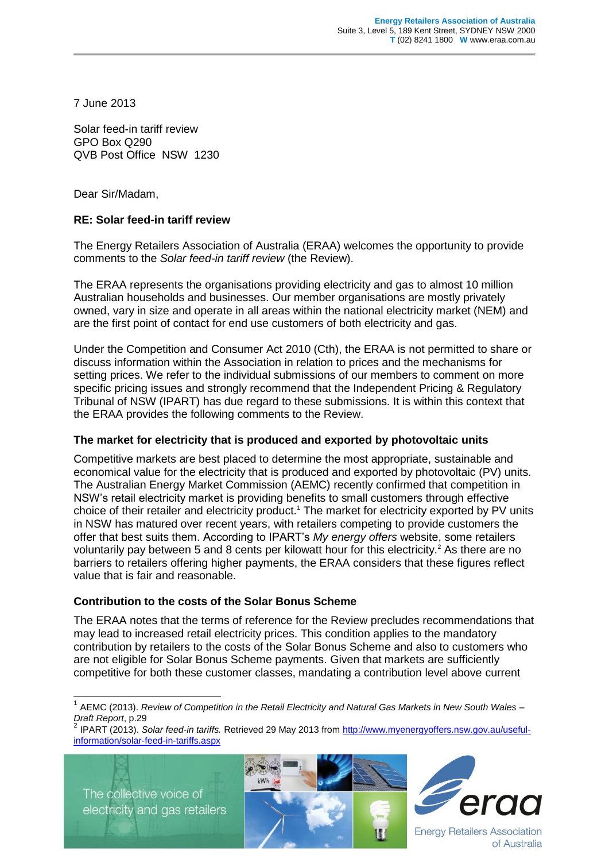7 June 2013

Solar feed-in tariff review GPO Box Q290 QVB Post Office NSW 1230

Dear Sir/Madam,

## **RE: Solar feed-in tariff review**

The Energy Retailers Association of Australia (ERAA) welcomes the opportunity to provide comments to the *Solar feed-in tariff review* (the Review).

The ERAA represents the organisations providing electricity and gas to almost 10 million Australian households and businesses. Our member organisations are mostly privately owned, vary in size and operate in all areas within the national electricity market (NEM) and are the first point of contact for end use customers of both electricity and gas.

Under the Competition and Consumer Act 2010 (Cth), the ERAA is not permitted to share or discuss information within the Association in relation to prices and the mechanisms for setting prices. We refer to the individual submissions of our members to comment on more specific pricing issues and strongly recommend that the Independent Pricing & Regulatory Tribunal of NSW (IPART) has due regard to these submissions. It is within this context that the ERAA provides the following comments to the Review.

## **The market for electricity that is produced and exported by photovoltaic units**

Competitive markets are best placed to determine the most appropriate, sustainable and economical value for the electricity that is produced and exported by photovoltaic (PV) units. The Australian Energy Market Commission (AEMC) recently confirmed that competition in NSW's retail electricity market is providing benefits to small customers through effective choice of their retailer and electricity product.<sup>1</sup> The market for electricity exported by PV units in NSW has matured over recent years, with retailers competing to provide customers the offer that best suits them. According to IPART's *My energy offers* website, some retailers voluntarily pay between 5 and 8 cents per kilowatt hour for this electricity.<sup>2</sup> As there are no barriers to retailers offering higher payments, the ERAA considers that these figures reflect value that is fair and reasonable.

## **Contribution to the costs of the Solar Bonus Scheme**

The ERAA notes that the terms of reference for the Review precludes recommendations that may lead to increased retail electricity prices. This condition applies to the mandatory contribution by retailers to the costs of the Solar Bonus Scheme and also to customers who are not eligible for Solar Bonus Scheme payments. Given that markets are sufficiently competitive for both these customer classes, mandating a contribution level above current

The collective voice of electricity and gas retailers

 $\overline{1}$ 





**Energy Retailers Association** of Australia

<sup>1</sup> AEMC (2013). *Review of Competition in the Retail Electricity and Natural Gas Markets in New South Wales – Draft Report*, p.29 2

IPART (2013). *Solar feed-in tariffs.* Retrieved 29 May 2013 from [http://www.myenergyoffers.nsw.gov.au/useful](http://www.myenergyoffers.nsw.gov.au/useful-information/solar-feed-in-tariffs.aspx)[information/solar-feed-in-tariffs.aspx](http://www.myenergyoffers.nsw.gov.au/useful-information/solar-feed-in-tariffs.aspx)